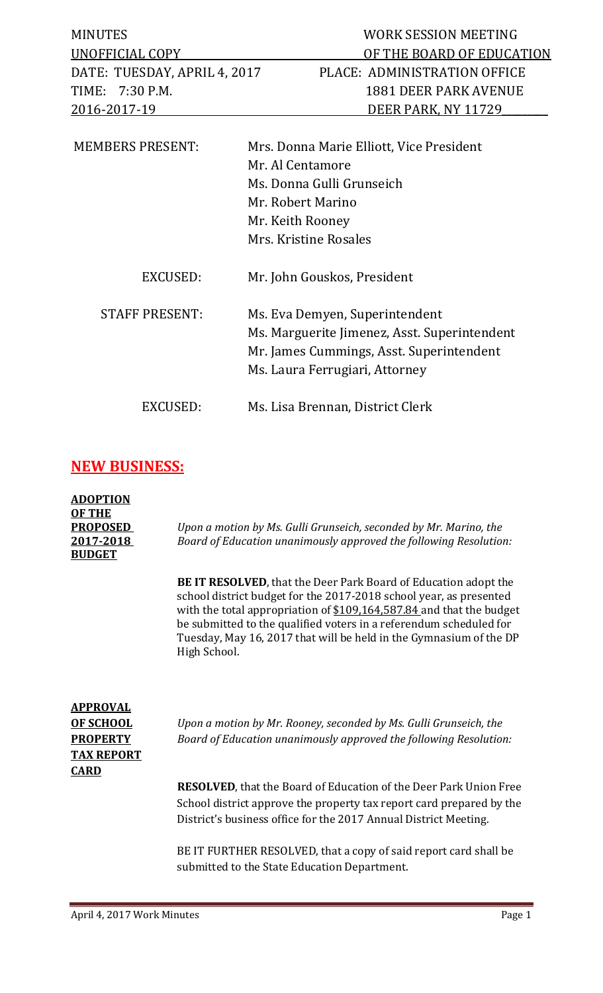| <b>MINUTES</b><br>UNOFFICIAL COPY | WORK SESSION MEETING<br>OF THE BOARD OF EDUCATION            |
|-----------------------------------|--------------------------------------------------------------|
| DATE: TUESDAY, APRIL 4, 2017      | PLACE: ADMINISTRATION OFFICE                                 |
| 7:30 P.M.<br>TIME:                | <b>1881 DEER PARK AVENUE</b>                                 |
| 2016-2017-19                      | DEER PARK, NY 11729                                          |
| <b>MEMBERS PRESENT:</b>           | Mrs. Donna Marie Elliott, Vice President<br>Mr. Al Centamore |
|                                   | Ms. Donna Gulli Grunseich                                    |
|                                   | Mr. Robert Marino                                            |
|                                   | Mr. Keith Rooney                                             |
|                                   | Mrs. Kristine Rosales                                        |
| <b>EXCUSED:</b>                   | Mr. John Gouskos, President                                  |
| <b>STAFF PRESENT:</b>             | Ms. Eva Demyen, Superintendent                               |
|                                   | Ms. Marguerite Jimenez, Asst. Superintendent                 |
|                                   | Mr. James Cummings, Asst. Superintendent                     |
|                                   | Ms. Laura Ferrugiari, Attorney                               |
| EXCUSED:                          | Ms. Lisa Brennan, District Clerk                             |

## **NEW BUSINESS:**

| <b>ADOPTION</b><br><b>OF THE</b><br><b>PROPOSED</b><br>2017-2018<br><b>BUDGET</b> | Upon a motion by Ms. Gulli Grunseich, seconded by Mr. Marino, the<br>Board of Education unanimously approved the following Resolution:                                                                                                                                                                                                                                            |
|-----------------------------------------------------------------------------------|-----------------------------------------------------------------------------------------------------------------------------------------------------------------------------------------------------------------------------------------------------------------------------------------------------------------------------------------------------------------------------------|
|                                                                                   | <b>BE IT RESOLVED</b> , that the Deer Park Board of Education adopt the<br>school district budget for the 2017-2018 school year, as presented<br>with the total appropriation of \$109,164,587.84 and that the budget<br>be submitted to the qualified voters in a referendum scheduled for<br>Tuesday, May 16, 2017 that will be held in the Gymnasium of the DP<br>High School. |
| <b>APPROVAL</b><br><b>OF SCHOOL</b><br><b>PROPERTY</b><br><b>TAX REPORT</b>       | Upon a motion by Mr. Rooney, seconded by Ms. Gulli Grunseich, the<br>Board of Education unanimously approved the following Resolution:                                                                                                                                                                                                                                            |
| <b>CARD</b>                                                                       | <b>RESOLVED</b> , that the Board of Education of the Deer Park Union Free<br>School district approve the property tax report card prepared by the<br>District's business office for the 2017 Annual District Meeting.                                                                                                                                                             |
|                                                                                   | BE IT FURTHER RESOLVED, that a copy of said report card shall be<br>submitted to the State Education Department.                                                                                                                                                                                                                                                                  |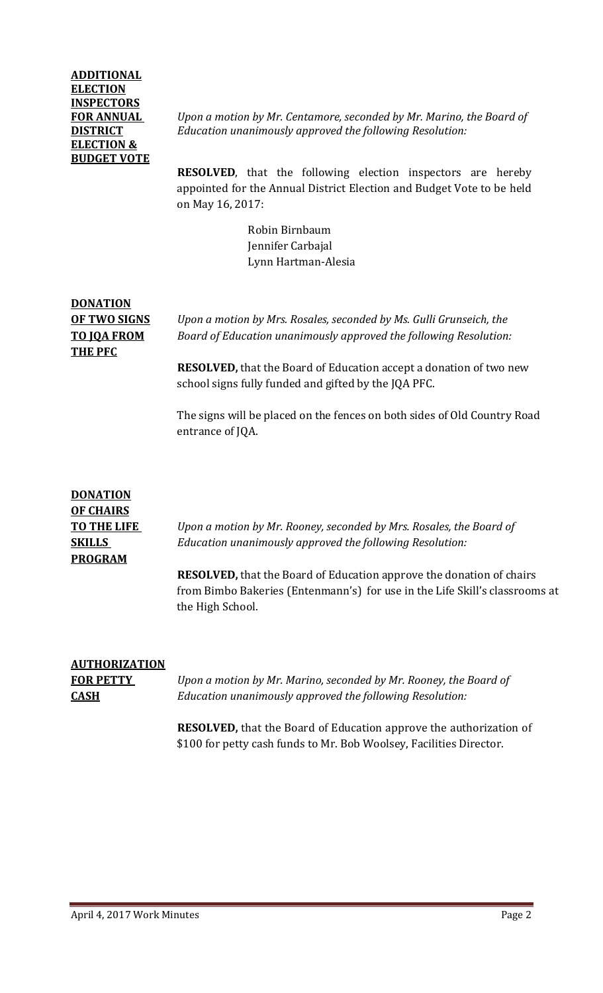### **ADDITIONAL ELECTION INSPECTORS ELECTION & BUDGET VOTE**

**FOR ANNUAL** *Upon a motion by Mr. Centamore, seconded by Mr. Marino, the Board of*  **DISTRICT** *Education unanimously approved the following Resolution:*

> **RESOLVED**, that the following election inspectors are hereby appointed for the Annual District Election and Budget Vote to be held on May 16, 2017:

> > Robin Birnbaum Jennifer Carbajal Lynn Hartman-Alesia

## **DONATION THE PFC**

**OF TWO SIGNS** *Upon a motion by Mrs. Rosales, seconded by Ms. Gulli Grunseich, the*  **TO JQA FROM** *Board of Education unanimously approved the following Resolution:*

> **RESOLVED,** that the Board of Education accept a donation of two new school signs fully funded and gifted by the JQA PFC.

The signs will be placed on the fences on both sides of Old Country Road entrance of JQA.

## **DONATION OF CHAIRS PROGRAM**

**TO THE LIFE** *Upon a motion by Mr. Rooney, seconded by Mrs. Rosales, the Board of*  **SKILLS** *Education unanimously approved the following Resolution:*

> **RESOLVED,** that the Board of Education approve the donation of chairs from Bimbo Bakeries (Entenmann's) for use in the Life Skill's classrooms at the High School.

# **AUTHORIZATION**

**FOR PETTY** *Upon a motion by Mr. Marino, seconded by Mr. Rooney, the Board of*  **CASH** *Education unanimously approved the following Resolution:*

> **RESOLVED,** that the Board of Education approve the authorization of \$100 for petty cash funds to Mr. Bob Woolsey, Facilities Director.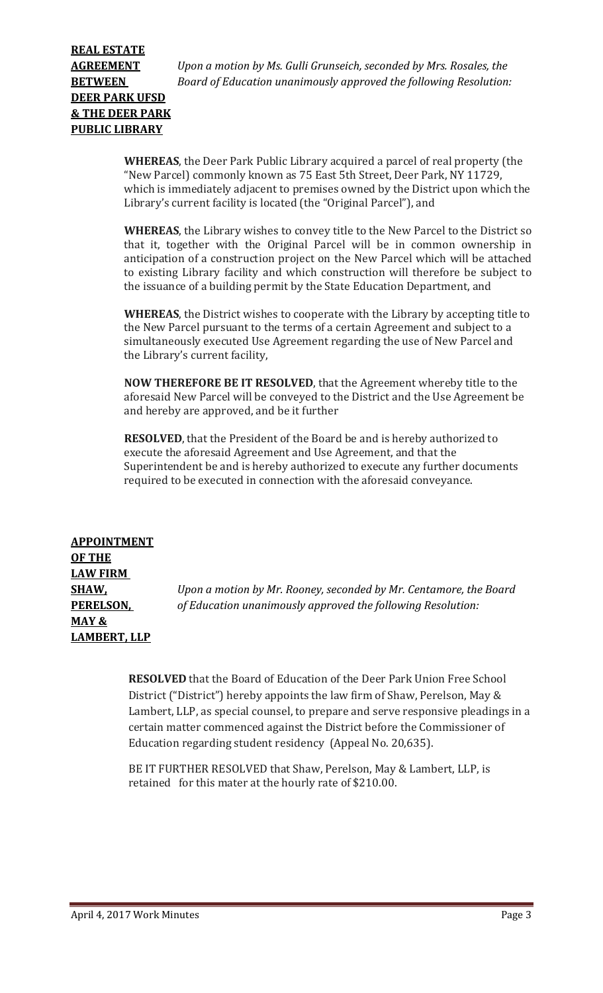**AGREEMENT** *Upon a motion by Ms. Gulli Grunseich, seconded by Mrs. Rosales, the*  **BETWEEN** *Board of Education unanimously approved the following Resolution:*

> **WHEREAS**, the Deer Park Public Library acquired a parcel of real property (the "New Parcel) commonly known as 75 East 5th Street, Deer Park, NY 11729, which is immediately adjacent to premises owned by the District upon which the Library's current facility is located (the "Original Parcel"), and

> **WHEREAS**, the Library wishes to convey title to the New Parcel to the District so that it, together with the Original Parcel will be in common ownership in anticipation of a construction project on the New Parcel which will be attached to existing Library facility and which construction will therefore be subject to the issuance of a building permit by the State Education Department, and

> **WHEREAS**, the District wishes to cooperate with the Library by accepting title to the New Parcel pursuant to the terms of a certain Agreement and subject to a simultaneously executed Use Agreement regarding the use of New Parcel and the Library's current facility,

**NOW THEREFORE BE IT RESOLVED**, that the Agreement whereby title to the aforesaid New Parcel will be conveyed to the District and the Use Agreement be and hereby are approved, and be it further

**RESOLVED**, that the President of the Board be and is hereby authorized to execute the aforesaid Agreement and Use Agreement, and that the Superintendent be and is hereby authorized to execute any further documents required to be executed in connection with the aforesaid conveyance.

**APPOINTMENT OF THE LAW FIRM MAY & LAMBERT, LLP**

**SHAW,** *Upon a motion by Mr. Rooney, seconded by Mr. Centamore, the Board*  **PERELSON,** *of Education unanimously approved the following Resolution:*

> **RESOLVED** that the Board of Education of the Deer Park Union Free School District ("District") hereby appoints the law firm of Shaw, Perelson, May & Lambert, LLP, as special counsel, to prepare and serve responsive pleadings in a certain matter commenced against the District before the Commissioner of Education regarding student residency (Appeal No. 20,635).

BE IT FURTHER RESOLVED that Shaw, Perelson, May & Lambert, LLP, is retained for this mater at the hourly rate of \$210.00.